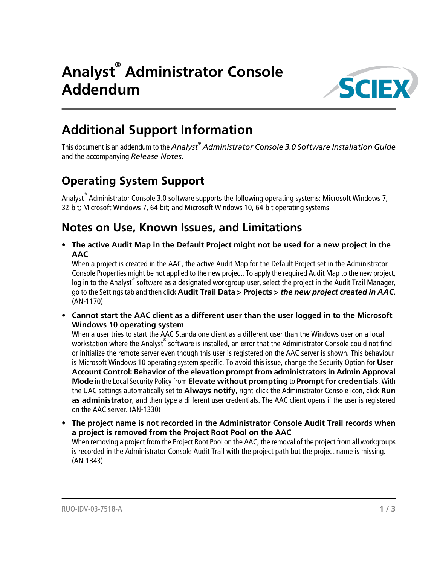

## **Additional Support Information**

This document is an addendum to the *Analyst® Administrator Console 3.0 Software Installation Guide* and the accompanying *Release Notes*.

#### **Operating System Support**

Analyst<sup>®</sup> Administrator Console 3.0 software supports the following operating systems: Microsoft Windows 7, 32-bit; Microsoft Windows 7, 64-bit; and Microsoft Windows 10, 64-bit operating systems.

#### **Notes on Use, Known Issues, and Limitations**

• **The active Audit Map in the Default Project might not be used for a new project in the AAC**

When a project is created in the AAC, the active Audit Map for the Default Project set in the Administrator Console Properties might be not applied to the new project. To apply the required Audit Map to the new project, log in to the Analyst® software as a designated workgroup user, select the project in the Audit Trail Manager, go to the Settings tab and then click **Audit Trail Data > Projects >** *the new project created in AAC*. (AN-1170)

• **Cannot start the AAC client as a different user than the user logged in to the Microsoft Windows 10 operating system**

When a user tries to start the AAC Standalone client as a different user than the Windows user on a local workstation where the Analyst $^\circ$  software is installed, an error that the Administrator Console could not find or initialize the remote server even though this user is registered on the AAC server is shown. This behaviour is Microsoft Windows 10 operating system specific. To avoid this issue, change the Security Option for **User Account Control: Behavior of the elevation prompt from administrators in Admin Approval Mode** in the Local Security Policy from **Elevate without prompting** to **Prompt for credentials**. With the UAC settings automatically set to **Always notify**, right-click the Administrator Console icon, click **Run as administrator**, and then type a different user credentials. The AAC client opens if the user is registered on the AAC server. (AN-1330)

• **The project name is not recorded in the Administrator Console Audit Trail records when a project is removed from the Project Root Pool on the AAC** When removing a project from the Project Root Pool on the AAC, the removal of the project from all workgroups

is recorded in the Administrator Console Audit Trail with the project path but the project name is missing. (AN-1343)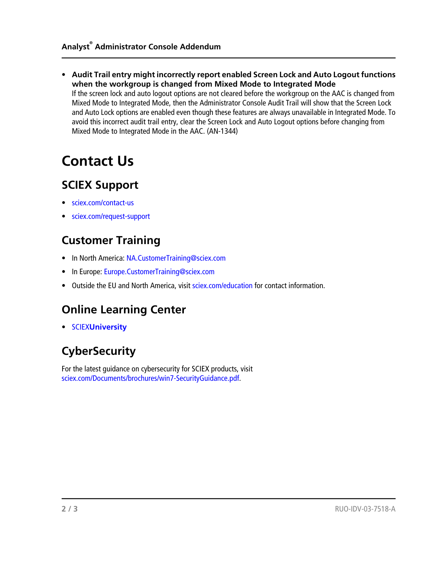• **Audit Trail entry might incorrectly report enabled Screen Lock and Auto Logout functions when the workgroup is changed from Mixed Mode to Integrated Mode**

If the screen lock and auto logout options are not cleared before the workgroup on the AAC is changed from Mixed Mode to Integrated Mode, then the Administrator Console Audit Trail will show that the Screen Lock and Auto Lock options are enabled even though these features are always unavailable in Integrated Mode. To avoid this incorrect audit trail entry, clear the Screen Lock and Auto Logout options before changing from Mixed Mode to Integrated Mode in the AAC. (AN-1344)

# **Contact Us**

#### **SCIEX Support**

- [sciex.com/contact-us](https://sciex.com/contact-us)
- [sciex.com/request-support](https://sciex.com/request-support)

#### **Customer Training**

- In North America: [NA.CustomerTraining@sciex.com](mailto:NA.CustomerTraining@sciex.com)
- In Europe: [Europe.CustomerTraining@sciex.com](mailto:Europe.CustomerTraining@sciex.com)
- Outside the EU and North America, visit [sciex.com/education](https://sciex.com/education) for contact information.

#### **Online Learning Center**

• SCIEX**[University](https://training.sciex.com)**

### **CyberSecurity**

For the latest guidance on cybersecurity for SCIEX products, visit [sciex.com/Documents/brochures/win7-SecurityGuidance.pdf](https://sciex.com/Documents/brochures/win7-SecurityGuidance.pdf).